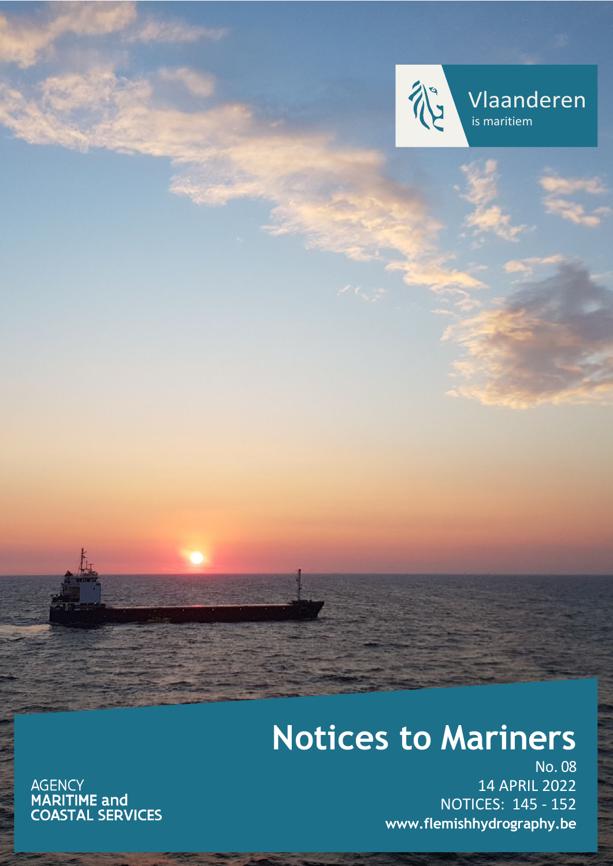

Vlaanderen is maritiem

# **Notices to Mariners**

AGENCY<br>**MARITIME and<br>COASTAL SERVICES** 

No. 08 14 APRIL 2022 NOTICES: 145 - 152 **[www.flemishhydrography.be](http://www.flemishhydrography.be/)**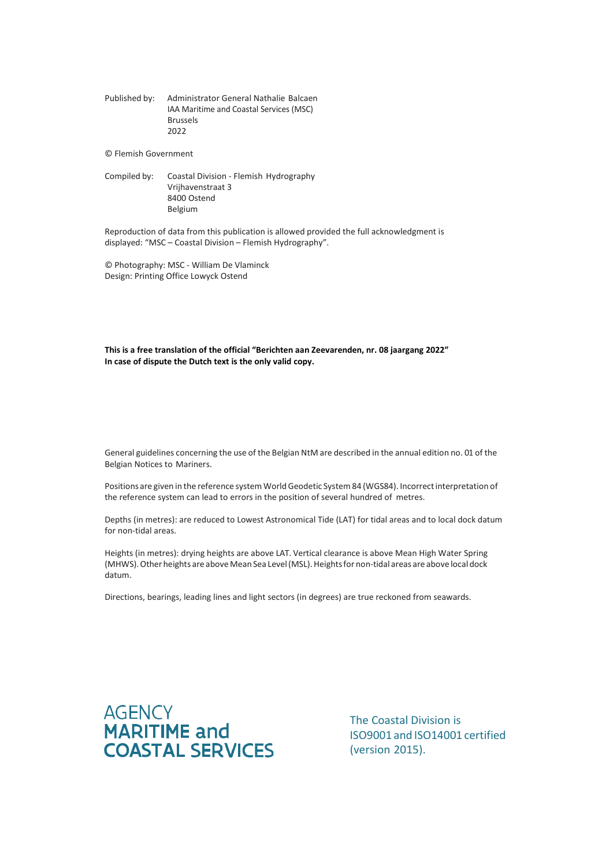Published by: Administrator General Nathalie Balcaen IAA Maritime and Coastal Services (MSC) Brussels 2022

© Flemish Government

Compiled by: Coastal Division - Flemish Hydrography Vrijhavenstraat 3 8400 Ostend Belgium

Reproduction of data from this publication is allowed provided the full acknowledgment is displayed: "MSC – Coastal Division – Flemish Hydrography".

© Photography: MSC - William De Vlaminck Design: Printing Office Lowyck Ostend

**This is a free translation of the official "Berichten aan Zeevarenden, nr. 08 jaargang 2022" In case of dispute the Dutch text is the only valid copy.**

General guidelines concerning the use of the Belgian NtM are described in the annual edition no. 01 of the Belgian Notices to Mariners.

Positions are given in the reference system World Geodetic System 84 (WGS84). Incorrect interpretation of the reference system can lead to errors in the position of several hundred of metres.

Depths (in metres): are reduced to Lowest Astronomical Tide (LAT) for tidal areas and to local dock datum for non-tidal areas.

Heights (in metres): drying heights are above LAT. Vertical clearance is above Mean High Water Spring (MHWS). Other heights are above Mean Sea Level (MSL). Heights for non-tidal areas are above local dock datum.

Directions, bearings, leading lines and light sectors (in degrees) are true reckoned from seawards.



The Coastal Division is ISO9001 and ISO14001 certified (version 2015).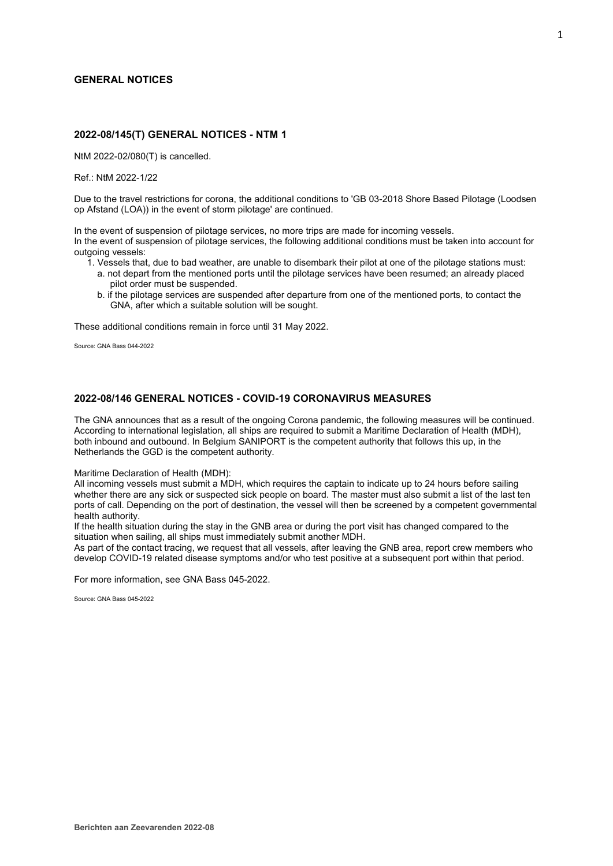# **GENERAL NOTICES**

# **2022-08/145(T) GENERAL NOTICES - NTM 1**

NtM 2022-02/080(T) is cancelled.

Ref.: NtM 2022-1/22

Due to the travel restrictions for corona, the additional conditions to 'GB 03-2018 Shore Based Pilotage (Loodsen op Afstand (LOA)) in the event of storm pilotage' are continued.

In the event of suspension of pilotage services, no more trips are made for incoming vessels.

In the event of suspension of pilotage services, the following additional conditions must be taken into account for outgoing vessels:

- 1. Vessels that, due to bad weather, are unable to disembark their pilot at one of the pilotage stations must:
	- a. not depart from the mentioned ports until the pilotage services have been resumed; an already placed pilot order must be suspended.
	- b. if the pilotage services are suspended after departure from one of the mentioned ports, to contact the GNA, after which a suitable solution will be sought.

These additional conditions remain in force until 31 May 2022.

Source: GNA Bass 044-2022

# **2022-08/146 GENERAL NOTICES - COVID-19 CORONAVIRUS MEASURES**

The GNA announces that as a result of the ongoing Corona pandemic, the following measures will be continued. According to international legislation, all ships are required to submit a Maritime Declaration of Health (MDH), both inbound and outbound. In Belgium SANIPORT is the competent authority that follows this up, in the Netherlands the GGD is the competent authority.

Maritime Declaration of Health (MDH):

All incoming vessels must submit a MDH, which requires the captain to indicate up to 24 hours before sailing whether there are any sick or suspected sick people on board. The master must also submit a list of the last ten ports of call. Depending on the port of destination, the vessel will then be screened by a competent governmental health authority.

If the health situation during the stay in the GNB area or during the port visit has changed compared to the situation when sailing, all ships must immediately submit another MDH.

As part of the contact tracing, we request that all vessels, after leaving the GNB area, report crew members who develop COVID-19 related disease symptoms and/or who test positive at a subsequent port within that period.

For more information, see GNA Bass 045-2022.

Source: GNA Bass 045-2022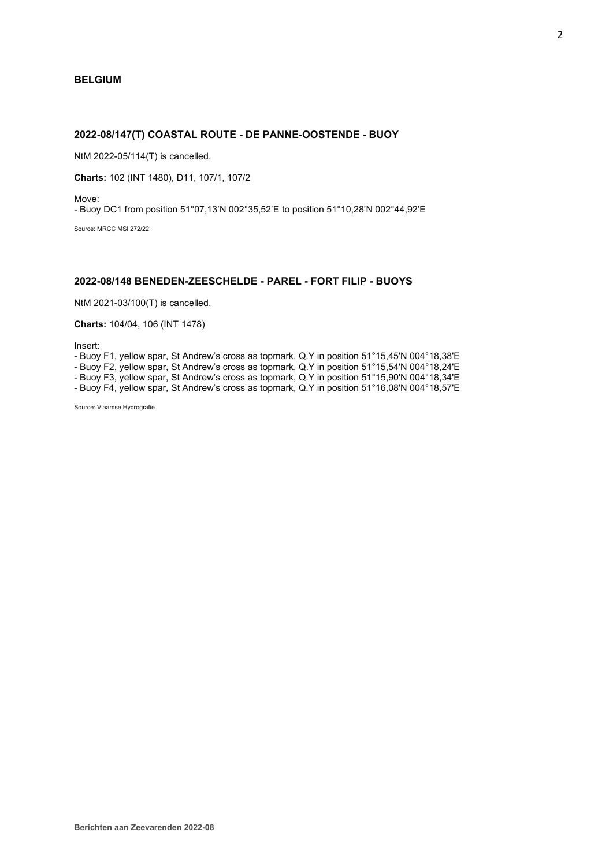# **BELGIUM**

# **2022-08/147(T) COASTAL ROUTE - DE PANNE-OOSTENDE - BUOY**

NtM 2022-05/114(T) is cancelled.

**Charts:** 102 (INT 1480), D11, 107/1, 107/2

Move:

- Buoy DC1 from position 51°07,13'N 002°35,52'E to position 51°10,28'N 002°44,92'E

Source: MRCC MSI 272/22

## **2022-08/148 BENEDEN-ZEESCHELDE - PAREL - FORT FILIP - BUOYS**

NtM 2021-03/100(T) is cancelled.

#### **Charts:** 104/04, 106 (INT 1478)

Insert:

- Buoy F1, yellow spar, St Andrew's cross as topmark, Q.Y in position 51°15,45'N 004°18,38'E

- Buoy F2, yellow spar, St Andrew's cross as topmark, Q.Y in position 51°15,54'N 004°18,24'E

- Buoy F3, yellow spar, St Andrew's cross as topmark, Q.Y in position 51°15,90'N 004°18,34'E

- Buoy F4, yellow spar, St Andrew's cross as topmark, Q.Y in position 51°16,08'N 004°18,57'E

Source: Vlaamse Hydrografie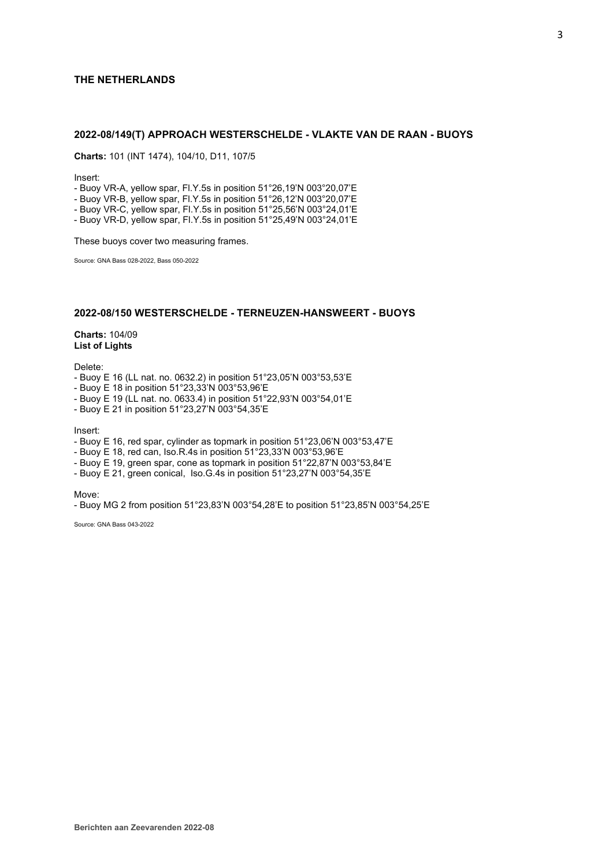# **THE NETHERLANDS**

# **2022-08/149(T) APPROACH WESTERSCHELDE - VLAKTE VAN DE RAAN - BUOYS**

**Charts:** 101 (INT 1474), 104/10, D11, 107/5

Insert:

- Buoy VR-A, yellow spar, Fl.Y.5s in position 51°26,19'N 003°20,07'E

- Buoy VR-B, yellow spar, Fl.Y.5s in position 51°26,12'N 003°20,07'E

- Buoy VR-C, yellow spar, Fl.Y.5s in position 51°25,56'N 003°24,01'E

- Buoy VR-D, yellow spar, Fl.Y.5s in position 51°25,49'N 003°24,01'E

These buoys cover two measuring frames.

Source: GNA Bass 028-2022, Bass 050-2022

# **2022-08/150 WESTERSCHELDE - TERNEUZEN-HANSWEERT - BUOYS**

**Charts:** 104/09 **List of Lights**

Delete:

- Buoy E 16 (LL nat. no. 0632.2) in position 51°23,05'N 003°53,53'E
- Buoy E 18 in position 51°23,33'N 003°53,96'E
- Buoy E 19 (LL nat. no. 0633.4) in position 51°22,93'N 003°54,01'E
- Buoy E 21 in position 51°23,27'N 003°54,35'E

Insert:

- Buoy E 16, red spar, cylinder as topmark in position 51°23,06'N 003°53,47'E
- Buoy E 18, red can, Iso.R.4s in position 51°23,33'N 003°53,96'E
- Buoy E 19, green spar, cone as topmark in position 51°22,87'N 003°53,84'E
- Buoy E 21, green conical, Iso.G.4s in position 51°23,27'N 003°54,35'E

Move:

- Buoy MG 2 from position 51°23,83'N 003°54,28'E to position 51°23,85'N 003°54,25'E

Source: GNA Bass 043-2022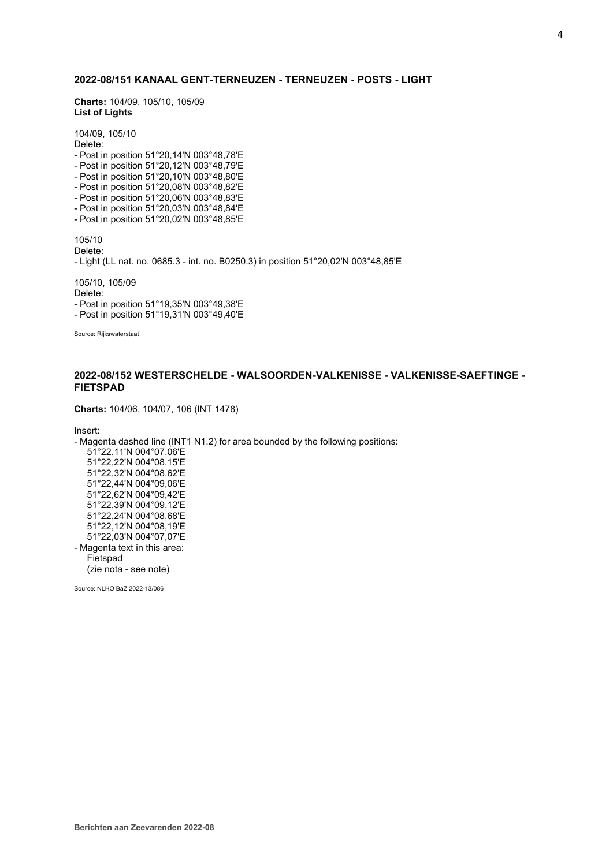# **2022-08/151 KANAAL GENT-TERNEUZEN - TERNEUZEN - POSTS - LIGHT**

**Charts:** 104/09, 105/10, 105/09 **List of Lights**

104/09, 105/10 Delete: - Post in position 51°20,14'N 003°48,78'E - Post in position 51°20,12'N 003°48,79'E - Post in position 51°20,10'N 003°48,80'E - Post in position 51°20,08'N 003°48,82'E - Post in position 51°20,06'N 003°48,83'E - Post in position 51°20,03'N 003°48,84'E - Post in position 51°20,02'N 003°48,85'E 105/10 Delete: - Light (LL nat. no. 0685.3 - int. no. B0250.3) in position 51°20,02'N 003°48,85'E 105/10, 105/09 Delete: - Post in position 51°19,35'N 003°49,38'E - Post in position 51°19,31'N 003°49,40'E Source: Rijkswaterstaat

# **2022-08/152 WESTERSCHELDE - WALSOORDEN-VALKENISSE - VALKENISSE-SAEFTINGE - FIETSPAD**

**Charts:** 104/06, 104/07, 106 (INT 1478)

Insert:

- Magenta dashed line (INT1 N1.2) for area bounded by the following positions: 51°22,11'N 004°07,06'E 51°22,22'N 004°08,15'E 51°22,32'N 004°08,62'E 51°22,44'N 004°09,06'E 51°22,62'N 004°09,42'E 51°22,39'N 004°09,12'E 51°22,24'N 004°08,68'E 51°22,12'N 004°08,19'E 51°22,03'N 004°07,07'E - Magenta text in this area: Fietspad (zie nota - see note)

Source: NLHO BaZ 2022-13/086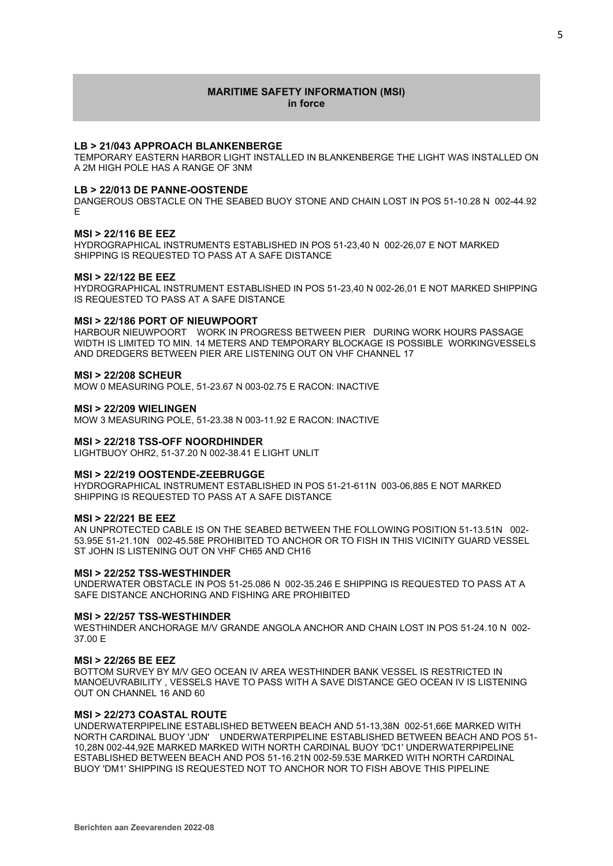# **MARITIME SAFETY INFORMATION (MSI) in force**

## **LB > 21/043 APPROACH BLANKENBERGE**

TEMPORARY EASTERN HARBOR LIGHT INSTALLED IN BLANKENBERGE THE LIGHT WAS INSTALLED ON A 2M HIGH POLE HAS A RANGE OF 3NM

#### **LB > 22/013 DE PANNE-OOSTENDE**

DANGEROUS OBSTACLE ON THE SEABED BUOY STONE AND CHAIN LOST IN POS 51-10.28 N 002-44.92 E

#### **MSI > 22/116 BE EEZ**

HYDROGRAPHICAL INSTRUMENTS ESTABLISHED IN POS 51-23,40 N 002-26,07 E NOT MARKED SHIPPING IS REQUESTED TO PASS AT A SAFE DISTANCE

#### **MSI > 22/122 BE EEZ**

HYDROGRAPHICAL INSTRUMENT ESTABLISHED IN POS 51-23,40 N 002-26,01 E NOT MARKED SHIPPING IS REQUESTED TO PASS AT A SAFE DISTANCE

#### **MSI > 22/186 PORT OF NIEUWPOORT**

HARBOUR NIEUWPOORT WORK IN PROGRESS BETWEEN PIER DURING WORK HOURS PASSAGE WIDTH IS LIMITED TO MIN. 14 METERS AND TEMPORARY BLOCKAGE IS POSSIBLE WORKINGVESSELS AND DREDGERS BETWEEN PIER ARE LISTENING OUT ON VHF CHANNEL 17

#### **MSI > 22/208 SCHEUR**

MOW 0 MEASURING POLE, 51-23.67 N 003-02.75 E RACON: INACTIVE

#### **MSI > 22/209 WIELINGEN**

MOW 3 MEASURING POLE, 51-23.38 N 003-11.92 E RACON: INACTIVE

#### **MSI > 22/218 TSS-OFF NOORDHINDER**

LIGHTBUOY OHR2, 51-37.20 N 002-38.41 E LIGHT UNLIT

#### **MSI > 22/219 OOSTENDE-ZEEBRUGGE**

HYDROGRAPHICAL INSTRUMENT ESTABLISHED IN POS 51-21-611N 003-06,885 E NOT MARKED SHIPPING IS REQUESTED TO PASS AT A SAFE DISTANCE

### **MSI > 22/221 BE EEZ**

AN UNPROTECTED CABLE IS ON THE SEABED BETWEEN THE FOLLOWING POSITION 51-13.51N 002- 53.95E 51-21.10N 002-45.58E PROHIBITED TO ANCHOR OR TO FISH IN THIS VICINITY GUARD VESSEL ST JOHN IS LISTENING OUT ON VHF CH65 AND CH16

#### **MSI > 22/252 TSS-WESTHINDER**

UNDERWATER OBSTACLE IN POS 51-25.086 N 002-35.246 E SHIPPING IS REQUESTED TO PASS AT A SAFE DISTANCE ANCHORING AND FISHING ARE PROHIBITED

#### **MSI > 22/257 TSS-WESTHINDER**

WESTHINDER ANCHORAGE M/V GRANDE ANGOLA ANCHOR AND CHAIN LOST IN POS 51-24.10 N 002- 37.00 E

#### **MSI > 22/265 BE EEZ**

BOTTOM SURVEY BY M/V GEO OCEAN IV AREA WESTHINDER BANK VESSEL IS RESTRICTED IN MANOEUVRABILITY , VESSELS HAVE TO PASS WITH A SAVE DISTANCE GEO OCEAN IV IS LISTENING OUT ON CHANNEL 16 AND 60

## **MSI > 22/273 COASTAL ROUTE**

UNDERWATERPIPELINE ESTABLISHED BETWEEN BEACH AND 51-13,38N 002-51,66E MARKED WITH NORTH CARDINAL BUOY 'JDN' UNDERWATERPIPELINE ESTABLISHED BETWEEN BEACH AND POS 51- 10,28N 002-44,92E MARKED MARKED WITH NORTH CARDINAL BUOY 'DC1' UNDERWATERPIPELINE ESTABLISHED BETWEEN BEACH AND POS 51-16.21N 002-59.53E MARKED WITH NORTH CARDINAL BUOY 'DM1' SHIPPING IS REQUESTED NOT TO ANCHOR NOR TO FISH ABOVE THIS PIPELINE